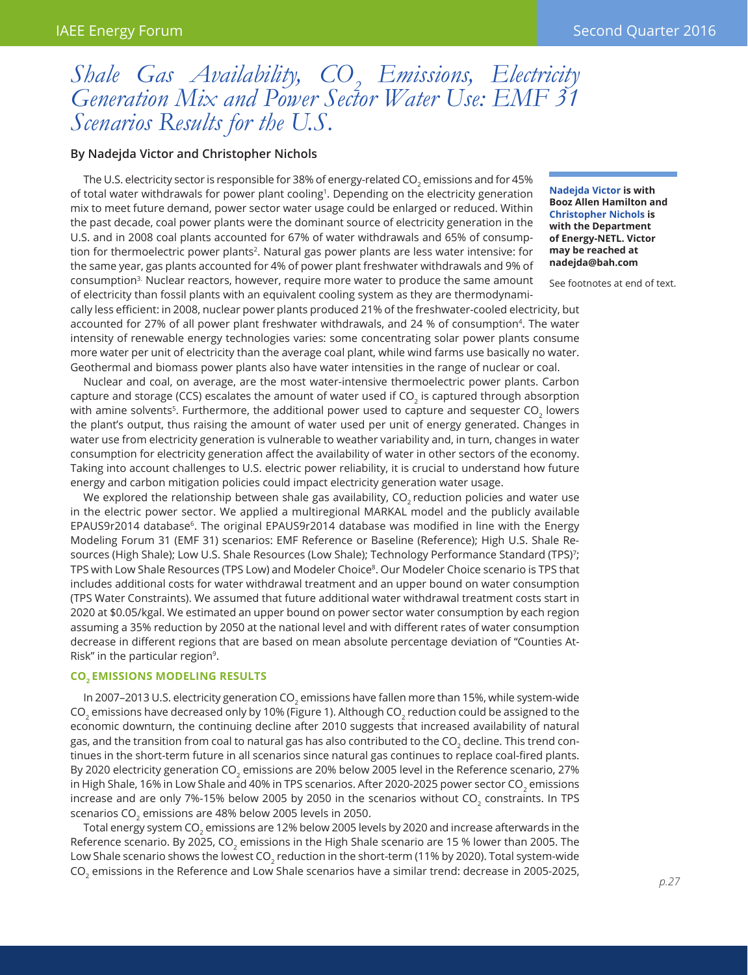# *Shale Gas Availability, CO<sub>2</sub> Emissions, Electricity Generation Mix and Power Sector Water Use: EMF 31 Scenarios Results for the U.S.*

# **By Nadejda Victor and Christopher Nichols**

The U.S. electricity sector is responsible for 38% of energy-related CO $_{\tiny 2}$  emissions and for 45% of total water withdrawals for power plant cooling1. Depending on the electricity generation mix to meet future demand, power sector water usage could be enlarged or reduced. Within the past decade, coal power plants were the dominant source of electricity generation in the U.S. and in 2008 coal plants accounted for 67% of water withdrawals and 65% of consumption for thermoelectric power plants<sup>2</sup>. Natural gas power plants are less water intensive: for the same year, gas plants accounted for 4% of power plant freshwater withdrawals and 9% of consumption<sup>3.</sup> Nuclear reactors, however, require more water to produce the same amount of electricity than fossil plants with an equivalent cooling system as they are thermodynami-

**Nadejda Victor is with Booz Allen Hamilton and Christopher Nichols is with the Department of Energy-NETL. Victor may be reached at nadejda@bah.com**

See footnotes at end of text.

cally less efficient: in 2008, nuclear power plants produced 21% of the freshwater-cooled electricity, but accounted for 27% of all power plant freshwater withdrawals, and 24 % of consumption<sup>4</sup>. The water intensity of renewable energy technologies varies: some concentrating solar power plants consume more water per unit of electricity than the average coal plant, while wind farms use basically no water. Geothermal and biomass power plants also have water intensities in the range of nuclear or coal.

Nuclear and coal, on average, are the most water-intensive thermoelectric power plants. Carbon capture and storage (CCS) escalates the amount of water used if CO<sub>2</sub> is captured through absorption with amine solvents<sup>5</sup>. Furthermore, the additional power used to capture and sequester CO<sub>2</sub> lowers the plant's output, thus raising the amount of water used per unit of energy generated. Changes in water use from electricity generation is vulnerable to weather variability and, in turn, changes in water consumption for electricity generation affect the availability of water in other sectors of the economy. Taking into account challenges to U.S. electric power reliability, it is crucial to understand how future energy and carbon mitigation policies could impact electricity generation water usage.

We explored the relationship between shale gas availability, CO<sub>2</sub> reduction policies and water use in the electric power sector. We applied a multiregional MARKAL model and the publicly available EPAUS9r2014 database<sup>6</sup>. The original EPAUS9r2014 database was modified in line with the Energy Modeling Forum 31 (EMF 31) scenarios: EMF Reference or Baseline (Reference); High U.S. Shale Resources (High Shale); Low U.S. Shale Resources (Low Shale); Technology Performance Standard (TPS)7; TPS with Low Shale Resources (TPS Low) and Modeler Choice<sup>8</sup>. Our Modeler Choice scenario is TPS that includes additional costs for water withdrawal treatment and an upper bound on water consumption (TPS Water Constraints). We assumed that future additional water withdrawal treatment costs start in 2020 at \$0.05/kgal. We estimated an upper bound on power sector water consumption by each region assuming a 35% reduction by 2050 at the national level and with different rates of water consumption decrease in different regions that are based on mean absolute percentage deviation of "Counties At-Risk" in the particular region<sup>9</sup>.

#### **CO2 Emissions Modeling Results**

In 2007–2013 U.S. electricity generation CO<sub>2</sub> emissions have fallen more than 15%, while system-wide CO<sub>2</sub> emissions have decreased only by 10% (Figure 1). Although CO<sub>2</sub> reduction could be assigned to the economic downturn, the continuing decline after 2010 suggests that increased availability of natural gas, and the transition from coal to natural gas has also contributed to the CO<sub>2</sub> decline. This trend continues in the short-term future in all scenarios since natural gas continues to replace coal-fired plants. By 2020 electricity generation CO<sub>2</sub> emissions are 20% below 2005 level in the Reference scenario, 27% in High Shale, 16% in Low Shale and 40% in TPS scenarios. After 2020-2025 power sector CO<sub>2</sub> emissions increase and are only 7%-15% below 2005 by 2050 in the scenarios without CO<sub>2</sub> constraints. In TPS scenarios CO<sub>2</sub> emissions are 48% below 2005 levels in 2050.

Total energy system CO<sub>2</sub> emissions are 12% below 2005 levels by 2020 and increase afterwards in the Reference scenario. By 2025, CO<sub>2</sub> emissions in the High Shale scenario are 15 % lower than 2005. The Low Shale scenario shows the lowest CO<sub>2</sub> reduction in the short-term (11% by 2020). Total system-wide  $CO<sub>2</sub>$  emissions in the Reference and Low Shale scenarios have a similar trend: decrease in 2005-2025,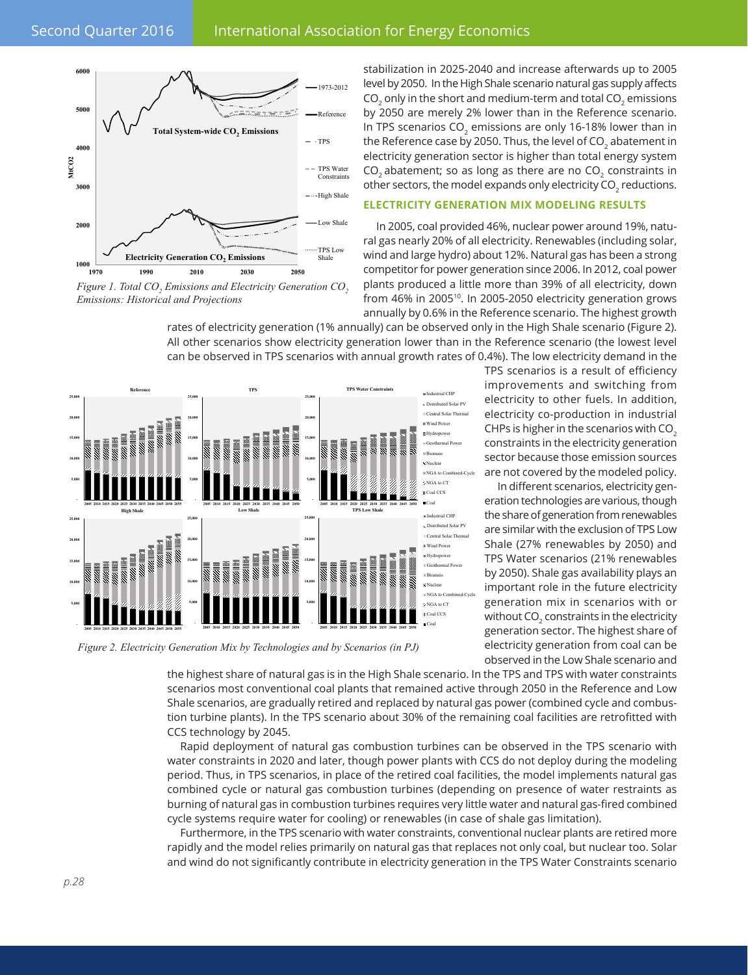

*Figure 1. Total CO<sub>2</sub> Emissions and Electricity Generation CO<sub>2</sub> Emissions: Historical and Projections*

stabilization in 2025-2040 and increase afterwards up to 2005 level by 2050. In the High Shale scenario natural gas supply affects CO $_{\text{2}}$  only in the short and medium-term and total CO $_{\text{2}}$  emissions by 2050 are merely 2% lower than in the Reference scenario. In TPS scenarios CO<sub>2</sub> emissions are only 16-18% lower than in the Reference case by 2050. Thus, the level of CO<sub>2</sub> abatement in electricity generation sector is higher than total energy system  $CO<sub>2</sub>$  abatement; so as long as there are no  $CO<sub>2</sub>$  constraints in other sectors, the model expands only electricity CO $_{\textrm{\tiny{2}}}$  reductions.

## **Electricity Generation Mix Modeling Results**

In 2005, coal provided 46%, nuclear power around 19%, natural gas nearly 20% of all electricity. Renewables (including solar, wind and large hydro) about 12%. Natural gas has been a strong competitor for power generation since 2006. In 2012, coal power plants produced a little more than 39% of all electricity, down from 46% in 2005<sup>10</sup>. In 2005-2050 electricity generation grows annually by 0.6% in the Reference scenario. The highest growth

rates of electricity generation (1% annually) can be observed only in the High Shale scenario (Figure 2). All other scenarios show electricity generation lower than in the Reference scenario (the lowest level can be observed in TPS scenarios with annual growth rates of 0.4%). The low electricity demand in the



*Figure 2. Electricity Generation Mix by Technologies and by Scenarios (in PJ)*

TPS scenarios is a result of efficiency improvements and switching from electricity to other fuels. In addition, electricity co-production in industrial CHPs is higher in the scenarios with CO<sub>2</sub> constraints in the electricity generation sector because those emission sources are not covered by the modeled policy.

In different scenarios, electricity generation technologies are various, though the share of generation from renewables are similar with the exclusion of TPS Low Shale (27% renewables by 2050) and TPS Water scenarios (21% renewables by 2050). Shale gas availability plays an important role in the future electricity generation mix in scenarios with or without CO $_{\textrm{\tiny{2}}}$  constraints in the electricity generation sector. The highest share of electricity generation from coal can be observed in the Low Shale scenario and

the highest share of natural gas is in the High Shale scenario. In the TPS and TPS with water constraints scenarios most conventional coal plants that remained active through 2050 in the Reference and Low Shale scenarios, are gradually retired and replaced by natural gas power (combined cycle and combustion turbine plants). In the TPS scenario about 30% of the remaining coal facilities are retrofitted with CCS technology by 2045.

Rapid deployment of natural gas combustion turbines can be observed in the TPS scenario with water constraints in 2020 and later, though power plants with CCS do not deploy during the modeling period. Thus, in TPS scenarios, in place of the retired coal facilities, the model implements natural gas combined cycle or natural gas combustion turbines (depending on presence of water restraints as burning of natural gas in combustion turbines requires very little water and natural gas-fired combined cycle systems require water for cooling) or renewables (in case of shale gas limitation).

Furthermore, in the TPS scenario with water constraints, conventional nuclear plants are retired more rapidly and the model relies primarily on natural gas that replaces not only coal, but nuclear too. Solar and wind do not significantly contribute in electricity generation in the TPS Water Constraints scenario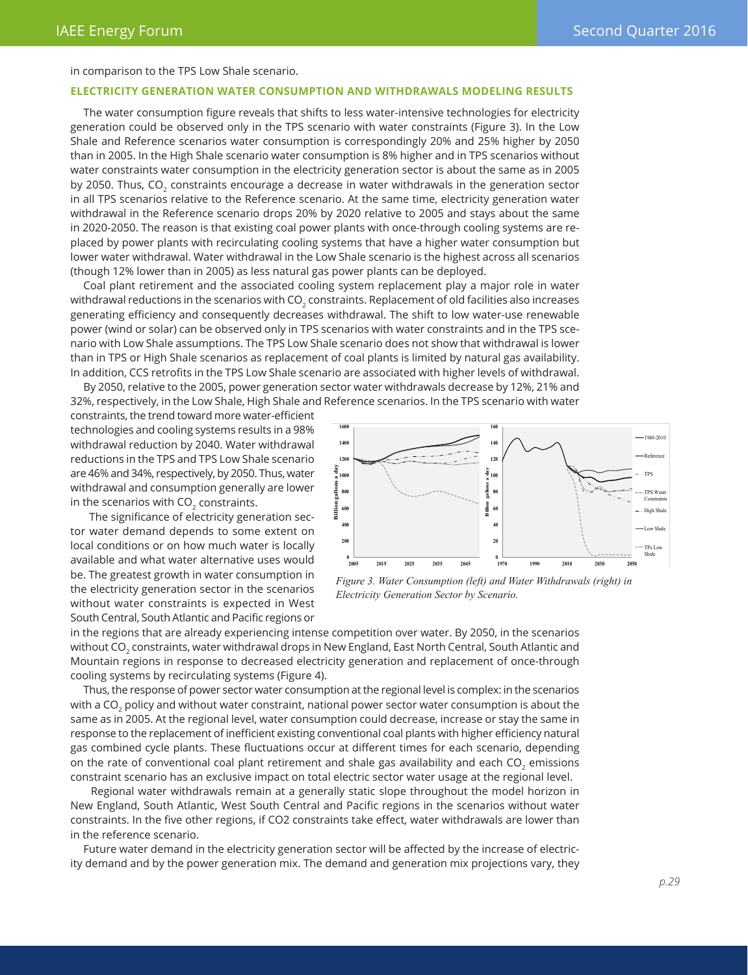in comparison to the TPS Low Shale scenario.

#### **Electricity Generation Water Consumption and Withdrawals Modeling Results**

The water consumption figure reveals that shifts to less water-intensive technologies for electricity generation could be observed only in the TPS scenario with water constraints (Figure 3). In the Low Shale and Reference scenarios water consumption is correspondingly 20% and 25% higher by 2050 than in 2005. In the High Shale scenario water consumption is 8% higher and in TPS scenarios without water constraints water consumption in the electricity generation sector is about the same as in 2005 by 2050. Thus, CO<sub>2</sub> constraints encourage a decrease in water withdrawals in the generation sector in all TPS scenarios relative to the Reference scenario. At the same time, electricity generation water withdrawal in the Reference scenario drops 20% by 2020 relative to 2005 and stays about the same in 2020-2050. The reason is that existing coal power plants with once-through cooling systems are replaced by power plants with recirculating cooling systems that have a higher water consumption but lower water withdrawal. Water withdrawal in the Low Shale scenario is the highest across all scenarios (though 12% lower than in 2005) as less natural gas power plants can be deployed.

Coal plant retirement and the associated cooling system replacement play a major role in water withdrawal reductions in the scenarios with CO $_{\rm 2}$  constraints. Replacement of old facilities also increases generating efficiency and consequently decreases withdrawal. The shift to low water-use renewable power (wind or solar) can be observed only in TPS scenarios with water constraints and in the TPS scenario with Low Shale assumptions. The TPS Low Shale scenario does not show that withdrawal is lower than in TPS or High Shale scenarios as replacement of coal plants is limited by natural gas availability. In addition, CCS retrofits in the TPS Low Shale scenario are associated with higher levels of withdrawal.

By 2050, relative to the 2005, power generation sector water withdrawals decrease by 12%, 21% and 32%, respectively, in the Low Shale, High Shale and Reference scenarios. In the TPS scenario with water

constraints, the trend toward more water-efficient technologies and cooling systems results in a 98% withdrawal reduction by 2040. Water withdrawal reductions in the TPS and TPS Low Shale scenario are 46% and 34%, respectively, by 2050. Thus, water withdrawal and consumption generally are lower in the scenarios with  $CO<sub>2</sub>$  constraints.

 The significance of electricity generation sector water demand depends to some extent on local conditions or on how much water is locally available and what water alternative uses would be. The greatest growth in water consumption in the electricity generation sector in the scenarios without water constraints is expected in West South Central, South Atlantic and Pacific regions or



*Figure 3. Water Consumption (left) and Water Withdrawals (right) in Electricity Generation Sector by Scenario.* 

in the regions that are already experiencing intense competition over water. By 2050, in the scenarios without CO $_{\rm 2}$  constraints, water withdrawal drops in New England, East North Central, South Atlantic and Mountain regions in response to decreased electricity generation and replacement of once-through cooling systems by recirculating systems (Figure 4).

Thus, the response of power sector water consumption at the regional level is complex: in the scenarios with a CO<sub>2</sub> policy and without water constraint, national power sector water consumption is about the same as in 2005. At the regional level, water consumption could decrease, increase or stay the same in response to the replacement of inefficient existing conventional coal plants with higher efficiency natural gas combined cycle plants. These fluctuations occur at different times for each scenario, depending on the rate of conventional coal plant retirement and shale gas availability and each CO<sub>2</sub> emissions constraint scenario has an exclusive impact on total electric sector water usage at the regional level.

 Regional water withdrawals remain at a generally static slope throughout the model horizon in New England, South Atlantic, West South Central and Pacific regions in the scenarios without water constraints. In the five other regions, if CO2 constraints take effect, water withdrawals are lower than in the reference scenario.

Future water demand in the electricity generation sector will be affected by the increase of electricity demand and by the power generation mix. The demand and generation mix projections vary, they